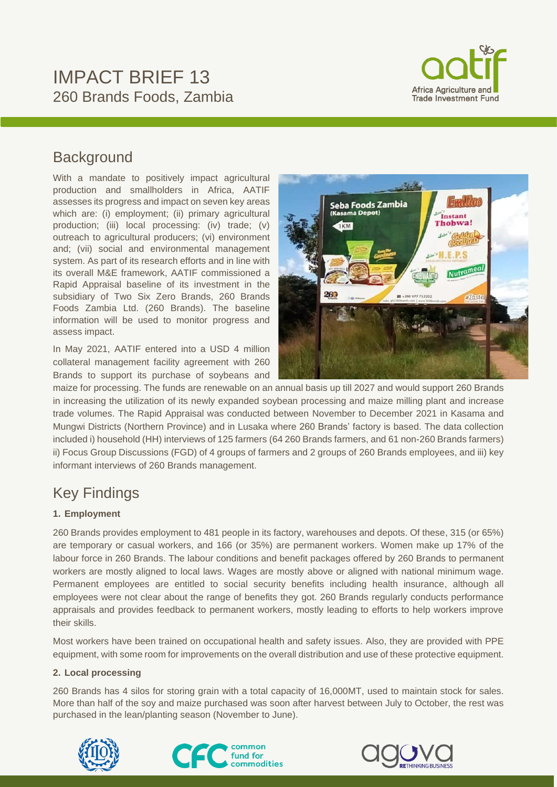# IMPACT BRIEF 13 260 Brands Foods, Zambia



## **Background**

With a mandate to positively impact agricultural production and smallholders in Africa, AATIF assesses its progress and impact on seven key areas which are: (i) employment; (ii) primary agricultural production; (iii) local processing: (iv) trade; (v) outreach to agricultural producers; (vi) environment and; (vii) social and environmental management system. As part of its research efforts and in line with its overall M&E framework, AATIF commissioned a Rapid Appraisal baseline of its investment in the subsidiary of Two Six Zero Brands, 260 Brands Foods Zambia Ltd. (260 Brands). The baseline information will be used to monitor progress and assess impact.

In May 2021, AATIF entered into a USD 4 million collateral management facility agreement with 260 Brands to support its purchase of soybeans and



maize for processing. The funds are renewable on an annual basis up till 2027 and would support 260 Brands in increasing the utilization of its newly expanded soybean processing and maize milling plant and increase trade volumes. The Rapid Appraisal was conducted between November to December 2021 in Kasama and Mungwi Districts (Northern Province) and in Lusaka where 260 Brands' factory is based. The data collection included i) household (HH) interviews of 125 farmers (64 260 Brands farmers, and 61 non-260 Brands farmers) ii) Focus Group Discussions (FGD) of 4 groups of farmers and 2 groups of 260 Brands employees, and iii) key informant interviews of 260 Brands management.

## Key Findings

#### **1. Employment**

260 Brands provides employment to 481 people in its factory, warehouses and depots. Of these, 315 (or 65%) are temporary or casual workers, and 166 (or 35%) are permanent workers. Women make up 17% of the labour force in 260 Brands. The labour conditions and benefit packages offered by 260 Brands to permanent workers are mostly aligned to local laws. Wages are mostly above or aligned with national minimum wage. Permanent employees are entitled to social security benefits including health insurance, although all employees were not clear about the range of benefits they got. 260 Brands regularly conducts performance appraisals and provides feedback to permanent workers, mostly leading to efforts to help workers improve their skills.

Most workers have been trained on occupational health and safety issues. Also, they are provided with PPE equipment, with some room for improvements on the overall distribution and use of these protective equipment.

#### **2. Local processing**

260 Brands has 4 silos for storing grain with a total capacity of 16,000MT, used to maintain stock for sales. More than half of the soy and maize purchased was soon after harvest between July to October, the rest was purchased in the lean/planting season (November to June).





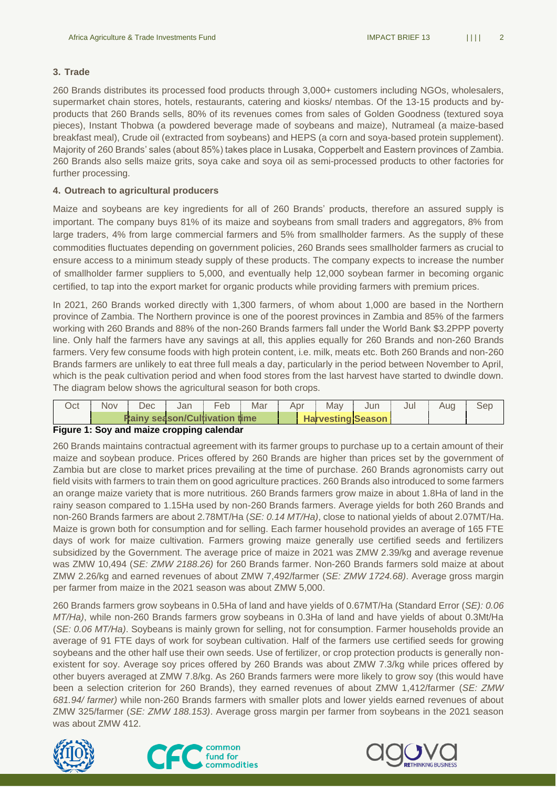#### **3. Trade**

260 Brands distributes its processed food products through 3,000+ customers including NGOs, wholesalers, supermarket chain stores, hotels, restaurants, catering and kiosks/ ntembas. Of the 13-15 products and byproducts that 260 Brands sells, 80% of its revenues comes from sales of Golden Goodness (textured soya pieces), Instant Thobwa (a powdered beverage made of soybeans and maize), Nutrameal (a maize-based breakfast meal), Crude oil (extracted from soybeans) and HEPS (a corn and soya-based protein supplement). Majority of 260 Brands' sales (about 85%) takes place in Lusaka, Copperbelt and Eastern provinces of Zambia. 260 Brands also sells maize grits, soya cake and soya oil as semi-processed products to other factories for further processing.

#### **4. Outreach to agricultural producers**

Maize and soybeans are key ingredients for all of 260 Brands' products, therefore an assured supply is important. The company buys 81% of its maize and soybeans from small traders and aggregators, 8% from large traders, 4% from large commercial farmers and 5% from smallholder farmers. As the supply of these commodities fluctuates depending on government policies, 260 Brands sees smallholder farmers as crucial to ensure access to a minimum steady supply of these products. The company expects to increase the number of smallholder farmer suppliers to 5,000, and eventually help 12,000 soybean farmer in becoming organic certified, to tap into the export market for organic products while providing farmers with premium prices.

In 2021, 260 Brands worked directly with 1,300 farmers, of whom about 1,000 are based in the Northern province of Zambia. The Northern province is one of the poorest provinces in Zambia and 85% of the farmers working with 260 Brands and 88% of the non-260 Brands farmers fall under the World Bank \$3.2PPP poverty line. Only half the farmers have any savings at all, this applies equally for 260 Brands and non-260 Brands farmers. Very few consume foods with high protein content, i.e. milk, meats etc. Both 260 Brands and non-260 Brands farmers are unlikely to eat three full meals a day, particularly in the period between November to April, which is the peak cultivation period and when food stores from the last harvest have started to dwindle down. The diagram below shows the agricultural season for both crops.

| <b>Rainy season/Cultivation time</b><br><b>Harvesting Season</b> | Oct | Nov | Dec | Jan | Feb | Mar | Apr | Mav | Jun | Jul | Aug | Sep |
|------------------------------------------------------------------|-----|-----|-----|-----|-----|-----|-----|-----|-----|-----|-----|-----|
|                                                                  |     |     |     |     |     |     |     |     |     |     |     |     |

#### **Figure 1: Soy and maize cropping calendar**

260 Brands maintains contractual agreement with its farmer groups to purchase up to a certain amount of their maize and soybean produce. Prices offered by 260 Brands are higher than prices set by the government of Zambia but are close to market prices prevailing at the time of purchase. 260 Brands agronomists carry out field visits with farmers to train them on good agriculture practices. 260 Brands also introduced to some farmers an orange maize variety that is more nutritious. 260 Brands farmers grow maize in about 1.8Ha of land in the rainy season compared to 1.15Ha used by non-260 Brands farmers. Average yields for both 260 Brands and non-260 Brands farmers are about 2.78MT/Ha (*SE: 0.14 MT/Ha)*, close to national yields of about 2.07MT/Ha. Maize is grown both for consumption and for selling. Each farmer household provides an average of 165 FTE days of work for maize cultivation. Farmers growing maize generally use certified seeds and fertilizers subsidized by the Government. The average price of maize in 2021 was ZMW 2.39/kg and average revenue was ZMW 10,494 (*SE: ZMW 2188.26)* for 260 Brands farmer. Non-260 Brands farmers sold maize at about ZMW 2.26/kg and earned revenues of about ZMW 7,492/farmer (*SE: ZMW 1724.68)*. Average gross margin per farmer from maize in the 2021 season was about ZMW 5,000.

260 Brands farmers grow soybeans in 0.5Ha of land and have yields of 0.67MT/Ha (Standard Error (*SE): 0.06 MT/Ha)*, while non-260 Brands farmers grow soybeans in 0.3Ha of land and have yields of about 0.3Mt/Ha (*SE: 0.06 MT/Ha)*. Soybeans is mainly grown for selling, not for consumption. Farmer households provide an average of 91 FTE days of work for soybean cultivation. Half of the farmers use certified seeds for growing soybeans and the other half use their own seeds. Use of fertilizer, or crop protection products is generally nonexistent for soy. Average soy prices offered by 260 Brands was about ZMW 7.3/kg while prices offered by other buyers averaged at ZMW 7.8/kg. As 260 Brands farmers were more likely to grow soy (this would have been a selection criterion for 260 Brands), they earned revenues of about ZMW 1,412/farmer (*SE: ZMW 681.94/ farmer)* while non-260 Brands farmers with smaller plots and lower yields earned revenues of about ZMW 325/farmer (*SE: ZMW 188.153)*. Average gross margin per farmer from soybeans in the 2021 season was about ZMW 412.